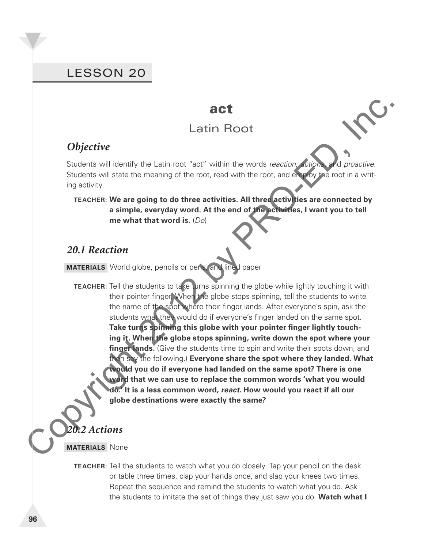# LESSON 20

#### **act**

# Latin Root

## *Objective*

Students will identify the Latin root "act" within the words *reaction*, *actions*, and *proactive*. Students will state the meaning of the root, read with the root, and employ the root in a writing activity.

#### **TEACHER: We are going to do three activities. All three activities are connected by a simple, everyday word. At the end of the activities, I want you to tell me what that word is.** (*Do*)

#### *20.1 Reaction*

**MATERIALS** World globe, pencils or pens, and lined paper

**Conservery of the control of the control of the state of the state of the state of the state of the state of the state of the state of the state of the state of the state of the state of the state of the state of the stat TEACHER:** Tell the students to take turns spinning the globe while lightly touching it with their pointer finger. When the globe stops spinning, tell the students to write the name of the spot where their finger lands. After everyone's spin, ask the students what they would do if everyone's finger landed on the same spot. **Take turns spinning this globe with your pointer finger lightly touching it. When the globe stops spinning, write down the spot where your**  finger lands. (Give the students time to spin and write their spots down, and then say the following.) **Everyone share the spot where they landed. What would you do if everyone had landed on the same spot? There is one word that we can use to replace the common words 'what you would do.' It is a less common word,** *react***. How would you react if all our globe destinations were exactly the same?**

#### *20.2 Actions*

**MATERIALS** None

 **TEACHER:** Tell the students to watch what you do closely. Tap your pencil on the desk or table three times, clap your hands once, and slap your knees two times. Repeat the sequence and remind the students to watch what you do. Ask the students to imitate the set of things they just saw you do. **Watch what I**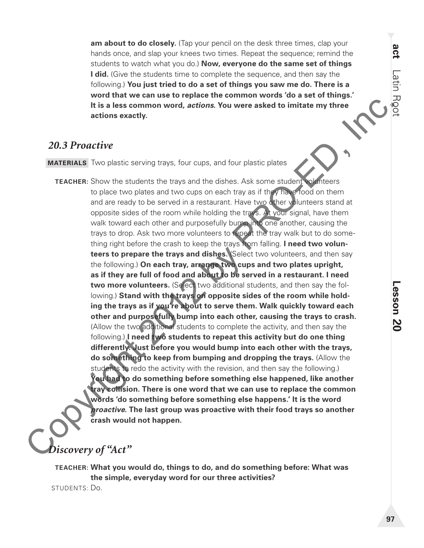am about to do closely. (Tap your pencil on the desk three times, clap your hands once, and slap your knees two times. Repeat the sequence; remind the students to watch what you do.) **Now, everyone do the same set of things I did.** (Give the students time to complete the sequence, and then say the following.) **You just tried to do a set of things you saw me do. There is a word that we can use to replace the common words 'do a set of things.' It is a less common word,** *actions***. You were asked to imitate my three actions exactly.**

#### *20.3 Proactive*

**MATERIALS** Two plastic serving trays, four cups, and four plastic plates

It is a less common word, actions. You were asked to imitate my three<br>
actions exactly<br>
20.3 Proactive<br>
MATERIALS Two plestic serving trays, four cups, and four plestic pletes<br>
TEACHER: Show the students the trays and the  **TEACHER:** Show the students the trays and the dishes. Ask some student volunteers to place two plates and two cups on each tray as if they have food on them and are ready to be served in a restaurant. Have two other volunteers stand at opposite sides of the room while holding the trays. At your signal, have them walk toward each other and purposefully bump into one another, causing the trays to drop. Ask two more volunteers to repeat the tray walk but to do something right before the crash to keep the trays from falling. **I need two volunteers to prepare the trays and dishes.** (Select two volunteers, and then say the following.) **On each tray, arrange two cups and two plates upright, as if they are full of food and about to be served in a restaurant. I need**  two more volunteers. (Select two additional students, and then say the following.) Stand with the trays on opposite sides of the room while hold**ing the trays as if you're about to serve them. Walk quickly toward each other and purposefully bump into each other, causing the trays to crash.** (Allow the two additional students to complete the activity, and then say the following.) **I need two students to repeat this activity but do one thing differently. Just before you would bump into each other with the trays, do something to keep from bumping and dropping the trays.** (Allow the students to redo the activity with the revision, and then say the following.) **You had to do something before something else happened, like another tray collision. There is one word that we can use to replace the common words 'do something before something else happens.' It is the word**  *proactive***. The last group was proactive with their food trays so another crash would not happen.** 

# *Discovery of "Act"*

 **TEACHER: What you would do, things to do, and do something before: What was the simple, everyday word for our three activities?** STUDENTS: Do.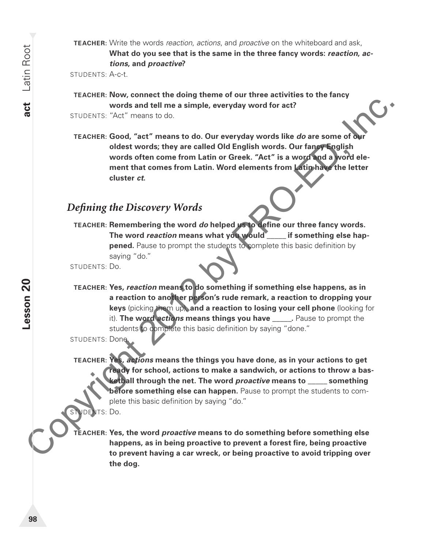**TEACHER:** Write the words *reaction*, *actions*, and *proactive* on the whiteboard and ask, **What do you see that is the same in the three fancy words:** *reaction***,** *actions***, and** *proactive***?**

STUDENTS: A-c-t.

- **TEACHER: Now, connect the doing theme of our three activities to the fancy words and tell me a simple, everyday word for act?**
- STUDENTS: "Act" means to do.
- **TEACHER: Good, "act" means to do. Our everyday words like** *do* **are some of our oldest words; they are called Old English words. Our fancy English words often come from Latin or Greek. "Act" is a word and a word element that comes from Latin. Word elements from Latin have the letter cluster** *ct***.**

#### *Defi ning the Discovery Words*

 **TEACHER: Remembering the word** *do* **helped us to define our three fancy words. The word** *reaction* **means what you would** \_\_\_\_\_ **if something else happened.** Pause to prompt the students to complete this basic definition by saying "do."

STUDENTS: Do.

 **TEACHER: Yes,** *reaction* **means to do something if something else happens, as in a reaction to another person's rude remark, a reaction to dropping your keys** (picking them up), **and a reaction to losing your cell phone** (looking for it). **The word** *actions* **means things you have** \_\_\_\_\_**.** Pause to prompt the students to complete this basic definition by saying "done."

STUDENTS: Done.

Words and tell me a simple, everyday word of act?<br>
SILUDENIS: "Aci" means to do.<br>
TEACHER: Good, "act "means to do. Our everyday words like do are some of our<br>
colds words sthe are selected Old English words. Our fange Eng  **TEACHER: Yes,** *actions* **means the things you have done, as in your actions to get ready for school, actions to make a sandwich, or actions to throw a basketball through the net. The word** *proactive* **means to** \_\_\_\_\_ **something before something else can happen.** Pause to prompt the students to complete this basic definition by saying "do." STUDENTS: Do.

 **TEACHER: Yes, the word** *proactive* **means to do something before something else**  happens, as in being proactive to prevent a forest fire, being proactive **to prevent having a car wreck, or being proactive to avoid tripping over the dog.**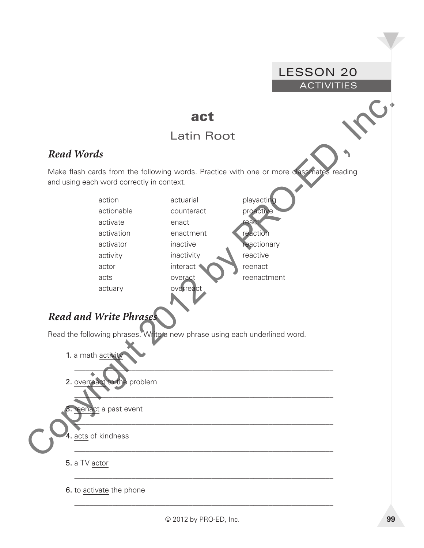#### and Words<br>
Make first cards from the following words. Practice with one or more and starting and word carried with carried and carried activistic<br>
and using oach word carried with carried activistic carried activistic<br>
act LESSON 20 **ACTIVITIES act** Latin Root *Read Words*  Make flash cards from the following words. Practice with one or more classmates reading and using each word correctly in context. action actionable activate activation activator activity actor acts actuary actuarial counteract enact enactment inactive inactivity interact overact overrea playacting proactive react reaction reactionary reactive reenact reenactment *Read and Write Phrases* Read the following phrases. Write a new phrase using each underlined word. 1. a math activity  $\overline{\phantom{a}}$ 2. overreact to the problem  $\mathcal{L}=\sum_{\mathcal{L}}\sum_{\mathcal{L}}\mathcal{L}(\mathcal{L}^{L})$  , where  $\mathcal{L}^{L}$ eenact a past event \_\_\_\_\_\_\_\_\_\_\_\_\_\_\_\_\_\_\_\_\_\_\_\_\_\_\_\_\_\_\_\_\_\_\_\_\_\_\_\_\_\_\_\_\_\_\_\_\_\_\_\_\_\_\_\_\_\_\_\_\_\_\_\_\_\_\_\_ 4. acts of kindness \_\_\_\_\_\_\_\_\_\_\_\_\_\_\_\_\_\_\_\_\_\_\_\_\_\_\_\_\_\_\_\_\_\_\_\_\_\_\_\_\_\_\_\_\_\_\_\_\_\_\_\_\_\_\_\_\_\_\_\_\_\_\_\_\_\_\_\_ 5. a TV actor \_\_\_\_\_\_\_\_\_\_\_\_\_\_\_\_\_\_\_\_\_\_\_\_\_\_\_\_\_\_\_\_\_\_\_\_\_\_\_\_\_\_\_\_\_\_\_\_\_\_\_\_\_\_\_\_\_\_\_\_\_\_\_\_\_\_\_\_ 6. to activate the phone \_\_\_\_\_\_\_\_\_\_\_\_\_\_\_\_\_\_\_\_\_\_\_\_\_\_\_\_\_\_\_\_\_\_\_\_\_\_\_\_\_\_\_\_\_\_\_\_\_\_\_\_\_\_\_\_\_\_\_\_\_\_\_\_\_\_\_\_